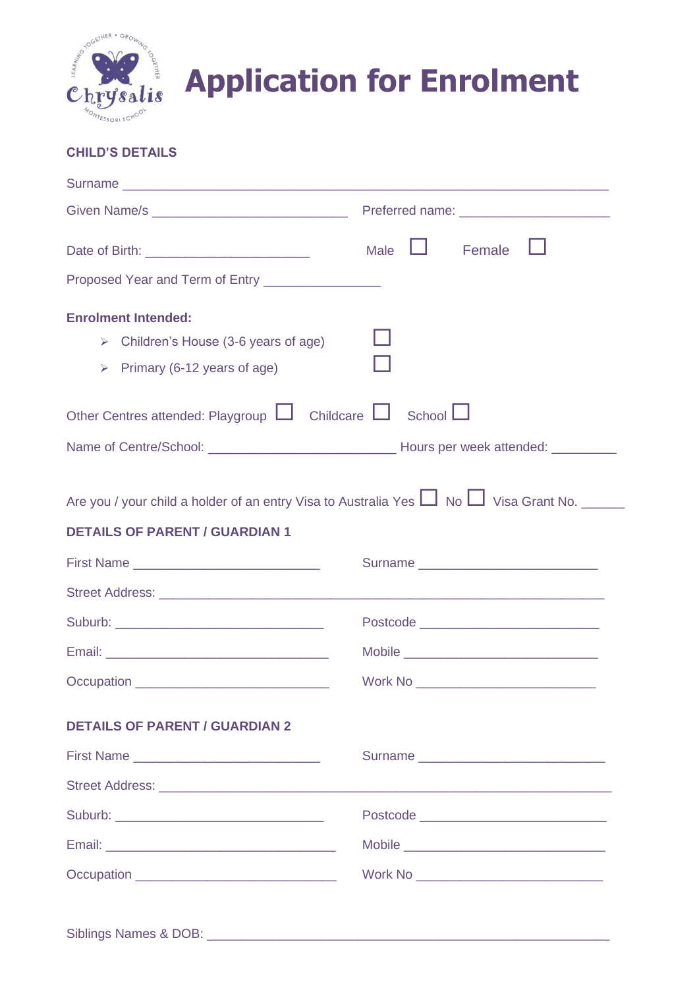

# **Application for Enrolment**

## **CHILD'S DETAILS**

|                                                                                                                                                                                                                                | Female<br>Male                            |
|--------------------------------------------------------------------------------------------------------------------------------------------------------------------------------------------------------------------------------|-------------------------------------------|
| Proposed Year and Term of Entry ___________________                                                                                                                                                                            |                                           |
| <b>Enrolment Intended:</b><br>$\triangleright$ Children's House (3-6 years of age)<br>> Primary (6-12 years of age)                                                                                                            |                                           |
| Other Centres attended: Playgroup $\Box$ Childcare $\Box$ School $\Box$                                                                                                                                                        |                                           |
|                                                                                                                                                                                                                                |                                           |
| Are you / your child a holder of an entry Visa to Australia Yes $\Box$ No $\Box$ Visa Grant No.<br><b>DETAILS OF PARENT / GUARDIAN 1</b>                                                                                       |                                           |
|                                                                                                                                                                                                                                |                                           |
|                                                                                                                                                                                                                                |                                           |
|                                                                                                                                                                                                                                |                                           |
|                                                                                                                                                                                                                                |                                           |
| Occupation entertainment and the contract of the contract of the contract of the contract of the contract of the contract of the contract of the contract of the contract of the contract of the contract of the contract of t | Work No _________________________________ |
| <b>DETAILS OF PARENT / GUARDIAN 2</b>                                                                                                                                                                                          |                                           |
|                                                                                                                                                                                                                                |                                           |
|                                                                                                                                                                                                                                |                                           |
|                                                                                                                                                                                                                                | Postcode ________________________________ |
|                                                                                                                                                                                                                                |                                           |
|                                                                                                                                                                                                                                | Work No ______________________________    |
|                                                                                                                                                                                                                                |                                           |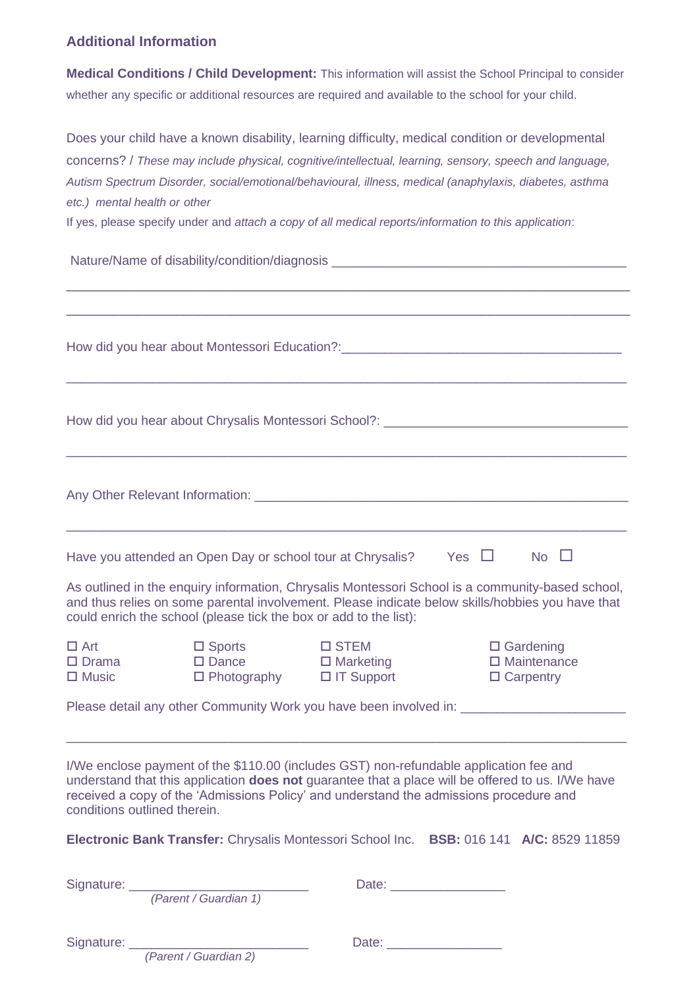### **Additional Information**

**Medical Conditions / Child Development:** This information will assist the School Principal to consider whether any specific or additional resources are required and available to the school for your child.

Does your child have a known disability, learning difficulty, medical condition or developmental concerns? / *These may include physical, cognitive/intellectual, learning, sensory, speech and language, Autism Spectrum Disorder, social/emotional/behavioural, illness, medical (anaphylaxis, diabetes, asthma etc.) mental health or other* 

If yes, please specify under and *attach a copy of all medical reports/information to this application*:

Nature/Name of disability/condition/diagnosis \_\_\_\_\_\_\_\_\_\_\_\_\_\_\_\_\_\_\_\_\_\_\_\_\_\_\_\_\_\_\_\_\_\_ \_\_\_\_\_\_\_\_\_\_\_\_\_\_\_\_\_\_\_\_\_\_\_\_\_\_\_\_\_\_\_\_\_\_\_\_\_\_\_\_\_\_\_\_\_\_\_\_\_\_\_\_\_\_\_\_\_\_\_\_\_\_\_\_\_\_\_\_\_\_\_\_ \_\_\_\_\_\_\_\_\_\_\_\_\_\_\_\_\_\_\_\_\_\_\_\_\_\_\_\_\_\_\_\_\_\_\_\_\_\_\_\_\_\_\_\_\_\_\_\_\_\_\_\_\_\_\_\_\_\_\_\_\_\_\_\_\_\_\_\_\_\_\_\_ How did you hear about Montessori Education?:<br>
The strategy of the strategy of the strategy of the strategy of the strategy of the strategy of the strategy of the strategy of the strategy of the strategy of the strategy of \_\_\_\_\_\_\_\_\_\_\_\_\_\_\_\_\_\_\_\_\_\_\_\_\_\_\_\_\_\_\_\_\_\_\_\_\_\_\_\_\_\_\_\_\_\_\_\_\_\_\_\_\_\_\_\_\_\_\_\_\_\_\_\_\_\_\_\_\_\_\_\_\_\_\_\_\_\_ How did you hear about Chrysalis Montessori School?: \_\_\_\_\_\_\_\_\_\_\_\_\_\_\_\_\_\_\_\_\_\_\_\_\_\_\_\_\_\_\_\_\_\_\_\_\_\_\_\_\_\_\_\_\_\_\_\_\_\_\_\_\_\_\_\_\_\_\_\_\_\_\_\_\_\_\_\_\_\_\_\_\_\_\_\_\_\_ Any Other Relevant Information: \_\_\_\_\_\_\_\_\_\_\_\_\_\_\_\_\_\_\_\_\_\_\_\_\_\_\_\_\_\_\_\_\_\_\_\_\_\_\_\_\_\_\_\_\_\_\_\_\_\_\_\_\_\_\_\_\_\_\_\_\_\_\_\_\_\_\_\_\_\_\_\_\_\_\_\_\_\_ Have you attended an Open Day or school tour at Chrysalis? Yes  $\Box$  No  $\Box$ As outlined in the enquiry information, Chrysalis Montessori School is a community-based school, and thus relies on some parental involvement. Please indicate below skills/hobbies you have that could enrich the school (please tick the box or add to the list): Art Sports STEM Gardening □ Drama DDance DMarketing DMaintenance □ Music □ Photography □ IT Support □ Carpentry Please detail any other Community Work you have been involved in: \_\_\_\_\_\_\_\_\_\_\_\_\_\_ \_\_\_\_\_\_\_\_\_\_\_\_\_\_\_\_\_\_\_\_\_\_\_\_\_\_\_\_\_\_\_\_\_\_\_\_\_\_\_\_\_\_\_\_\_\_\_\_\_\_\_\_\_\_\_\_\_\_\_\_\_\_\_\_\_\_\_\_\_\_\_\_\_\_\_\_\_\_ I/We enclose payment of the \$110.00 (includes GST) non-refundable application fee and understand that this application **does not** guarantee that a place will be offered to us. I/We have received a copy of the 'Admissions Policy' and understand the admissions procedure and conditions outlined therein.

**Electronic Bank Transfer:** Chrysalis Montessori School Inc. **BSB:** 016 141 **A/C:** 8529 11859

*(Parent / Guardian 1)* 

Signature: etc. and the state of the state of the Date:  $\Box$ 

 *(Parent / Guardian 2)*

Signature: \_\_\_\_\_\_\_\_\_\_\_\_\_\_\_\_\_\_\_\_\_\_\_\_\_ Date: \_\_\_\_\_\_\_\_\_\_\_\_\_\_\_\_